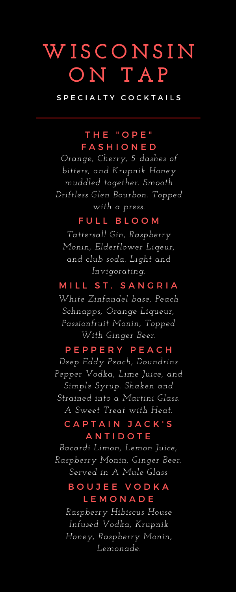# **W I S C O N S I N O N T A P**

S P E C I A L T Y C O C K T A I L S

## THE "OPE" **FASHIONED**

*Orange, Cherry, 5 dashes of bitters, and Krupnik Honey muddled together. Smooth Driftless Glen Bourbon. Topped with a press.*

### FULL BLOOM

*Tattersall Gin, Raspberry Monin, Elderflower Liqeur, and club soda. Light and Invigorating.*

### M I L L ST. SANGRIA

*White Zinfandel base, Peach Schnapps, Orange Liqueur, Passionfruit Monin, Topped With Ginger Beer.*

### P E P P E R Y P E A C H

*Deep Eddy Peach, Doundrins Pepper Vodka, Lime Juice, and Simple Syrup. Shaken and Strained into a Martini Glass. A Sweet Treat with Heat.*

## CAPTAIN JACK'S **ANTIDOTE**

*Bacardi Limon, Lemon Juice, Raspberry Monin, Ginger Beer. Served in A Mule Glass*

## BOUJEE VODKA L E M O N A D E

*Raspberry Hibiscus House Infused Vodka, Krupnik Honey, Raspberry Monin, Lemonade.*